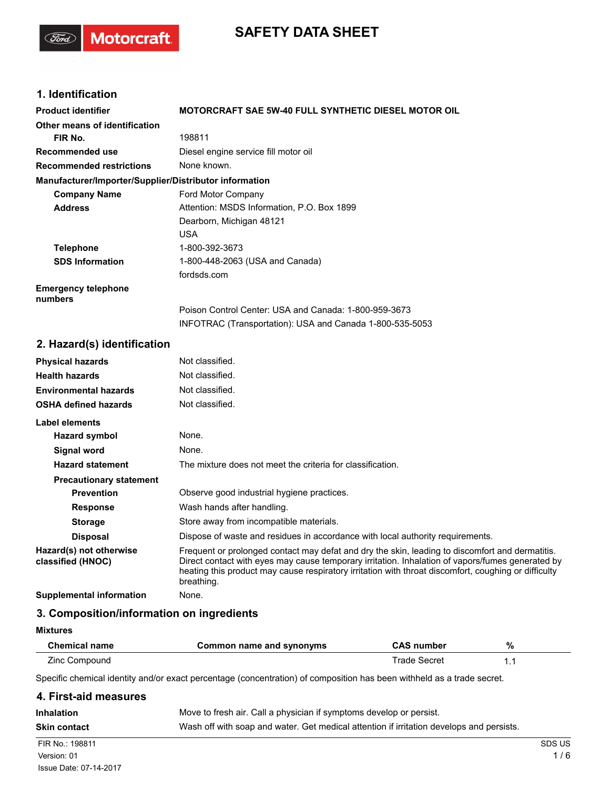# **SAFETY DATA SHEET**

## **1. Identification**

(Ford)

**Motorcraft** 

| <b>Product identifier</b>                              | MOTORCRAFT SAE 5W-40 FULL SYNTHETIC DIESEL MOTOR OIL                                                                                                                                                                                                                                                                      |
|--------------------------------------------------------|---------------------------------------------------------------------------------------------------------------------------------------------------------------------------------------------------------------------------------------------------------------------------------------------------------------------------|
| <b>Other means of identification</b>                   |                                                                                                                                                                                                                                                                                                                           |
| FIR No.                                                | 198811                                                                                                                                                                                                                                                                                                                    |
| Recommended use                                        | Diesel engine service fill motor oil                                                                                                                                                                                                                                                                                      |
| <b>Recommended restrictions</b>                        | None known.                                                                                                                                                                                                                                                                                                               |
| Manufacturer/Importer/Supplier/Distributor information |                                                                                                                                                                                                                                                                                                                           |
| <b>Company Name</b>                                    | Ford Motor Company                                                                                                                                                                                                                                                                                                        |
| <b>Address</b>                                         | Attention: MSDS Information, P.O. Box 1899                                                                                                                                                                                                                                                                                |
|                                                        | Dearborn, Michigan 48121                                                                                                                                                                                                                                                                                                  |
|                                                        | USA                                                                                                                                                                                                                                                                                                                       |
| <b>Telephone</b>                                       | 1-800-392-3673                                                                                                                                                                                                                                                                                                            |
| <b>SDS Information</b>                                 | 1-800-448-2063 (USA and Canada)                                                                                                                                                                                                                                                                                           |
|                                                        | fordsds.com                                                                                                                                                                                                                                                                                                               |
| <b>Emergency telephone</b><br>numbers                  |                                                                                                                                                                                                                                                                                                                           |
|                                                        | Poison Control Center: USA and Canada: 1-800-959-3673                                                                                                                                                                                                                                                                     |
|                                                        | INFOTRAC (Transportation): USA and Canada 1-800-535-5053                                                                                                                                                                                                                                                                  |
| 2. Hazard(s) identification                            |                                                                                                                                                                                                                                                                                                                           |
| <b>Physical hazards</b>                                | Not classified.                                                                                                                                                                                                                                                                                                           |
| <b>Health hazards</b>                                  | Not classified.                                                                                                                                                                                                                                                                                                           |
| <b>Environmental hazards</b>                           | Not classified.                                                                                                                                                                                                                                                                                                           |
| <b>OSHA defined hazards</b>                            | Not classified.                                                                                                                                                                                                                                                                                                           |
| <b>Label elements</b>                                  |                                                                                                                                                                                                                                                                                                                           |
| <b>Hazard symbol</b>                                   | None.                                                                                                                                                                                                                                                                                                                     |
| <b>Signal word</b>                                     | None.                                                                                                                                                                                                                                                                                                                     |
| <b>Hazard statement</b>                                | The mixture does not meet the criteria for classification.                                                                                                                                                                                                                                                                |
| <b>Precautionary statement</b>                         |                                                                                                                                                                                                                                                                                                                           |
| <b>Prevention</b>                                      | Observe good industrial hygiene practices.                                                                                                                                                                                                                                                                                |
| <b>Response</b>                                        | Wash hands after handling.                                                                                                                                                                                                                                                                                                |
| <b>Storage</b>                                         | Store away from incompatible materials.                                                                                                                                                                                                                                                                                   |
| <b>Disposal</b>                                        | Dispose of waste and residues in accordance with local authority requirements.                                                                                                                                                                                                                                            |
| Hazard(s) not otherwise<br>classified (HNOC)           | Frequent or prolonged contact may defat and dry the skin, leading to discomfort and dermatitis.<br>Direct contact with eyes may cause temporary irritation. Inhalation of vapors/fumes generated by<br>heating this product may cause respiratory irritation with throat discomfort, coughing or difficulty<br>breathing. |

**Supplemental information** None.

#### **3. Composition/information on ingredients**

| <b>Mixtures</b> |
|-----------------|
|-----------------|

| <b>Chemical name</b> | Common name and synonyms | CAS number   | % |
|----------------------|--------------------------|--------------|---|
| Zinc Compound        |                          | Trade Secret |   |

Specific chemical identity and/or exact percentage (concentration) of composition has been withheld as a trade secret.

| 4. First-aid measures |                                                                                          |               |
|-----------------------|------------------------------------------------------------------------------------------|---------------|
| <b>Inhalation</b>     | Move to fresh air. Call a physician if symptoms develop or persist.                      |               |
| <b>Skin contact</b>   | Wash off with soap and water. Get medical attention if irritation develops and persists. |               |
| FIR No.: 198811       |                                                                                          | <b>SDS US</b> |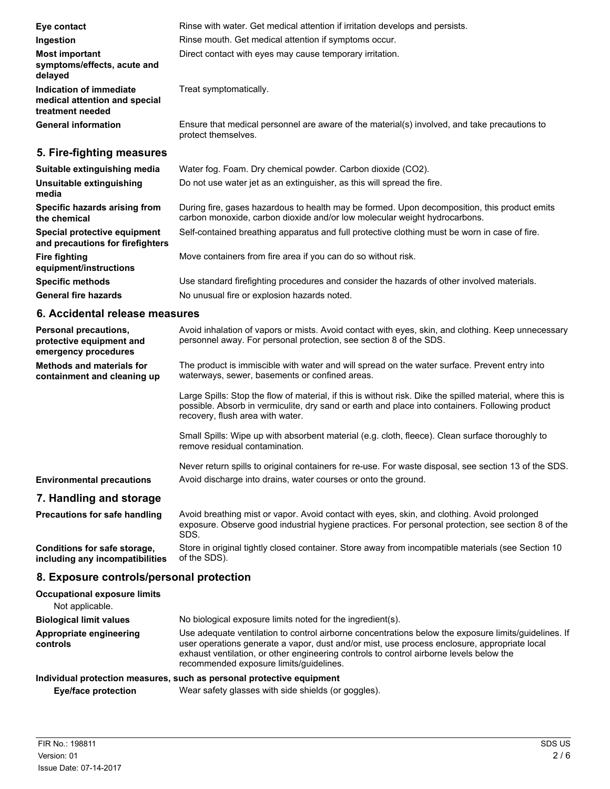| Eye contact                                                                  | Rinse with water. Get medical attention if irritation develops and persists.                                                                                              |
|------------------------------------------------------------------------------|---------------------------------------------------------------------------------------------------------------------------------------------------------------------------|
| Ingestion                                                                    | Rinse mouth. Get medical attention if symptoms occur.                                                                                                                     |
| <b>Most important</b><br>symptoms/effects, acute and<br>delayed              | Direct contact with eyes may cause temporary irritation.                                                                                                                  |
| Indication of immediate<br>medical attention and special<br>treatment needed | Treat symptomatically.                                                                                                                                                    |
| <b>General information</b>                                                   | Ensure that medical personnel are aware of the material(s) involved, and take precautions to<br>protect themselves.                                                       |
| 5. Fire-fighting measures                                                    |                                                                                                                                                                           |
| Suitable extinguishing media                                                 | Water fog. Foam. Dry chemical powder. Carbon dioxide (CO2).                                                                                                               |
| Unsuitable extinguishing<br>media                                            | Do not use water jet as an extinguisher, as this will spread the fire.                                                                                                    |
| Specific hazards arising from<br>the chemical                                | During fire, gases hazardous to health may be formed. Upon decomposition, this product emits<br>carbon monoxide, carbon dioxide and/or low molecular weight hydrocarbons. |
| Special protective equipment                                                 | Self-contained breathing apparatus and full protective clothing must be worn in case of fire.                                                                             |

**Specific methods** Use standard firefighting procedures and consider the hazards of other involved materials.

waterways, sewer, basements or confined areas.

recovery, flush area with water.

remove residual contamination.

personnel away. For personal protection, see section 8 of the SDS.

Avoid inhalation of vapors or mists. Avoid contact with eyes, skin, and clothing. Keep unnecessary

Large Spills: Stop the flow of material, if this is without risk. Dike the spilled material, where this is possible. Absorb in vermiculite, dry sand or earth and place into containers. Following product

Never return spills to original containers for re-use. For waste disposal, see section 13 of the SDS.

The product is immiscible with water and will spread on the water surface. Prevent entry into

Small Spills: Wipe up with absorbent material (e.g. cloth, fleece). Clean surface thoroughly to

**Fire fighting** Move containers from fire area if you can do so without risk.

General fire hazards **No unusual fire or explosion hazards noted.** 

**Environmental precautions** Avoid discharge into drains, water courses or onto the ground. **7. Handling and storage**

**and precautions for firefighters**

**6. Accidental release measures**

**equipment/instructions**

**Personal precautions, protective equipment and emergency procedures**

**Methods and materials for containment and cleaning up**

Avoid breathing mist or vapor. Avoid contact with eyes, skin, and clothing. Avoid prolonged exposure. Observe good industrial hygiene practices. For personal protection, see section 8 of the SDS. **Precautions for safe handling** Store in original tightly closed container. Store away from incompatible materials (see Section 10 of the SDS). **Conditions for safe storage, including any incompatibilities**

#### **8. Exposure controls/personal protection**

| <b>Occupational exposure limits</b><br>Not applicable.                |                                                                                                                                                                                                                                                                                                                                            |
|-----------------------------------------------------------------------|--------------------------------------------------------------------------------------------------------------------------------------------------------------------------------------------------------------------------------------------------------------------------------------------------------------------------------------------|
| <b>Biological limit values</b>                                        | No biological exposure limits noted for the ingredient(s).                                                                                                                                                                                                                                                                                 |
| Appropriate engineering<br>controls                                   | Use adequate ventilation to control airborne concentrations below the exposure limits/quidelines. If<br>user operations generate a vapor, dust and/or mist, use process enclosure, appropriate local<br>exhaust ventilation, or other engineering controls to control airborne levels below the<br>recommended exposure limits/quidelines. |
| Individual protection measures, such as personal protective equipment |                                                                                                                                                                                                                                                                                                                                            |

**Eye/face protection** Wear safety glasses with side shields (or goggles).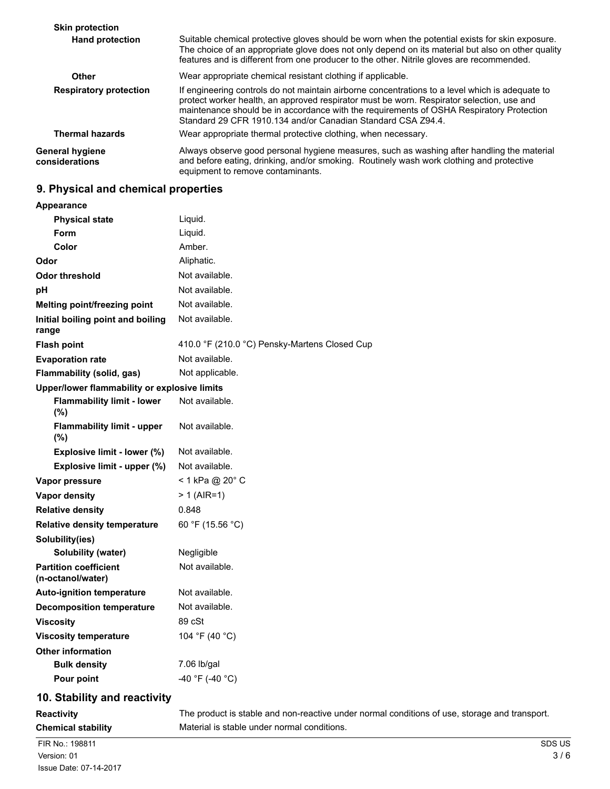| <b>Skin protection</b>                   |                                                                                                                                                                                                                                                                                                                                                          |
|------------------------------------------|----------------------------------------------------------------------------------------------------------------------------------------------------------------------------------------------------------------------------------------------------------------------------------------------------------------------------------------------------------|
| <b>Hand protection</b>                   | Suitable chemical protective gloves should be worn when the potential exists for skin exposure.<br>The choice of an appropriate glove does not only depend on its material but also on other quality<br>features and is different from one producer to the other. Nitrile gloves are recommended.                                                        |
| Other                                    | Wear appropriate chemical resistant clothing if applicable.                                                                                                                                                                                                                                                                                              |
| <b>Respiratory protection</b>            | If engineering controls do not maintain airborne concentrations to a level which is adequate to<br>protect worker health, an approved respirator must be worn. Respirator selection, use and<br>maintenance should be in accordance with the requirements of OSHA Respiratory Protection<br>Standard 29 CFR 1910.134 and/or Canadian Standard CSA Z94.4. |
| <b>Thermal hazards</b>                   | Wear appropriate thermal protective clothing, when necessary.                                                                                                                                                                                                                                                                                            |
| <b>General hygiene</b><br>considerations | Always observe good personal hygiene measures, such as washing after handling the material<br>and before eating, drinking, and/or smoking. Routinely wash work clothing and protective<br>equipment to remove contaminants.                                                                                                                              |

## **9. Physical and chemical properties**

| Appearance                                        |                                                                                               |
|---------------------------------------------------|-----------------------------------------------------------------------------------------------|
| <b>Physical state</b>                             | Liquid.                                                                                       |
| Form                                              | Liquid.                                                                                       |
| Color                                             | Amber.                                                                                        |
| Odor                                              | Aliphatic.                                                                                    |
| <b>Odor threshold</b>                             | Not available.                                                                                |
| рH                                                | Not available.                                                                                |
| Melting point/freezing point                      | Not available.                                                                                |
| Initial boiling point and boiling<br>range        | Not available.                                                                                |
| <b>Flash point</b>                                | 410.0 °F (210.0 °C) Pensky-Martens Closed Cup                                                 |
| <b>Evaporation rate</b>                           | Not available.                                                                                |
| Flammability (solid, gas)                         | Not applicable.                                                                               |
| Upper/lower flammability or explosive limits      |                                                                                               |
| <b>Flammability limit - lower</b><br>$(\%)$       | Not available.                                                                                |
| <b>Flammability limit - upper</b><br>(%)          | Not available.                                                                                |
| Explosive limit - lower (%)                       | Not available.                                                                                |
| Explosive limit - upper (%)                       | Not available.                                                                                |
| Vapor pressure                                    | < 1 kPa @ 20° C                                                                               |
| <b>Vapor density</b>                              | $> 1$ (AIR=1)                                                                                 |
| <b>Relative density</b>                           | 0.848                                                                                         |
| <b>Relative density temperature</b>               | 60 °F (15.56 °C)                                                                              |
| Solubility(ies)                                   |                                                                                               |
| Solubility (water)                                | Negligible                                                                                    |
| <b>Partition coefficient</b><br>(n-octanol/water) | Not available.                                                                                |
| <b>Auto-ignition temperature</b>                  | Not available.                                                                                |
| <b>Decomposition temperature</b>                  | Not available.                                                                                |
| <b>Viscosity</b>                                  | 89 cSt                                                                                        |
| <b>Viscosity temperature</b>                      | 104 °F (40 °C)                                                                                |
| <b>Other information</b>                          |                                                                                               |
| <b>Bulk density</b>                               | 7.06 lb/gal                                                                                   |
| Pour point                                        | -40 °F (-40 °C)                                                                               |
| 10. Stability and reactivity                      |                                                                                               |
| <b>Reactivity</b>                                 | The product is stable and non-reactive under normal conditions of use, storage and transport. |
| <b>Chemical stability</b>                         | Material is stable under normal conditions.                                                   |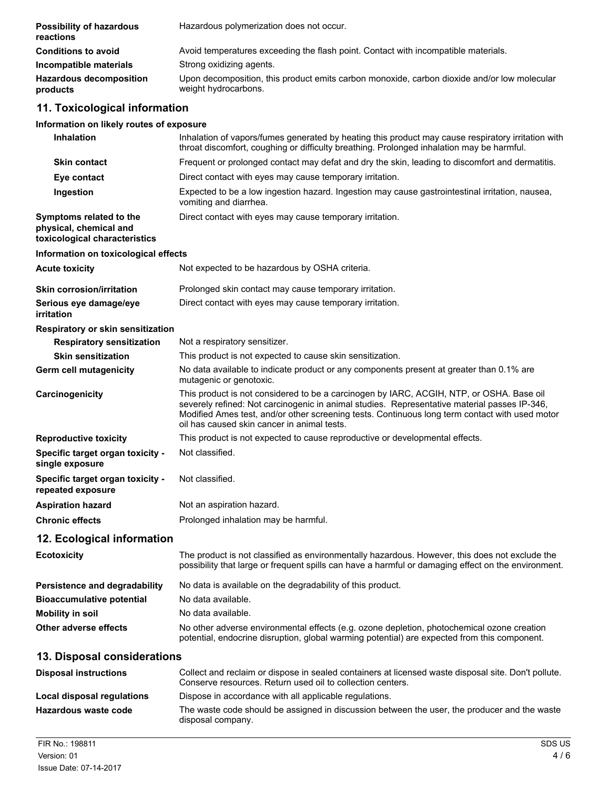| <b>Possibility of hazardous</b><br>reactions                                       | Hazardous polymerization does not occur.                                                                                                                                                                                                                                                                                                  |
|------------------------------------------------------------------------------------|-------------------------------------------------------------------------------------------------------------------------------------------------------------------------------------------------------------------------------------------------------------------------------------------------------------------------------------------|
| <b>Conditions to avoid</b>                                                         | Avoid temperatures exceeding the flash point. Contact with incompatible materials.                                                                                                                                                                                                                                                        |
| Incompatible materials                                                             | Strong oxidizing agents.                                                                                                                                                                                                                                                                                                                  |
| <b>Hazardous decomposition</b><br>products                                         | Upon decomposition, this product emits carbon monoxide, carbon dioxide and/or low molecular<br>weight hydrocarbons.                                                                                                                                                                                                                       |
| 11. Toxicological information                                                      |                                                                                                                                                                                                                                                                                                                                           |
| Information on likely routes of exposure                                           |                                                                                                                                                                                                                                                                                                                                           |
| <b>Inhalation</b>                                                                  | Inhalation of vapors/fumes generated by heating this product may cause respiratory irritation with<br>throat discomfort, coughing or difficulty breathing. Prolonged inhalation may be harmful.                                                                                                                                           |
| <b>Skin contact</b>                                                                | Frequent or prolonged contact may defat and dry the skin, leading to discomfort and dermatitis.                                                                                                                                                                                                                                           |
| Eye contact                                                                        | Direct contact with eyes may cause temporary irritation.                                                                                                                                                                                                                                                                                  |
| Ingestion                                                                          | Expected to be a low ingestion hazard. Ingestion may cause gastrointestinal irritation, nausea,<br>vomiting and diarrhea.                                                                                                                                                                                                                 |
| Symptoms related to the<br>physical, chemical and<br>toxicological characteristics | Direct contact with eyes may cause temporary irritation.                                                                                                                                                                                                                                                                                  |
| Information on toxicological effects                                               |                                                                                                                                                                                                                                                                                                                                           |
| <b>Acute toxicity</b>                                                              | Not expected to be hazardous by OSHA criteria.                                                                                                                                                                                                                                                                                            |
| <b>Skin corrosion/irritation</b>                                                   | Prolonged skin contact may cause temporary irritation.                                                                                                                                                                                                                                                                                    |
| Serious eye damage/eye<br>irritation                                               | Direct contact with eyes may cause temporary irritation.                                                                                                                                                                                                                                                                                  |
| Respiratory or skin sensitization                                                  |                                                                                                                                                                                                                                                                                                                                           |
| <b>Respiratory sensitization</b>                                                   | Not a respiratory sensitizer.                                                                                                                                                                                                                                                                                                             |
| <b>Skin sensitization</b>                                                          | This product is not expected to cause skin sensitization.                                                                                                                                                                                                                                                                                 |
| Germ cell mutagenicity                                                             | No data available to indicate product or any components present at greater than 0.1% are<br>mutagenic or genotoxic.                                                                                                                                                                                                                       |
| Carcinogenicity                                                                    | This product is not considered to be a carcinogen by IARC, ACGIH, NTP, or OSHA. Base oil<br>severely refined: Not carcinogenic in animal studies. Representative material passes IP-346,<br>Modified Ames test, and/or other screening tests. Continuous long term contact with used motor<br>oil has caused skin cancer in animal tests. |
| <b>Reproductive toxicity</b>                                                       | This product is not expected to cause reproductive or developmental effects.                                                                                                                                                                                                                                                              |
| Specific target organ toxicity -<br>single exposure                                | Not classified.                                                                                                                                                                                                                                                                                                                           |
| Specific target organ toxicity -<br>repeated exposure                              | Not classified.                                                                                                                                                                                                                                                                                                                           |
| <b>Aspiration hazard</b>                                                           | Not an aspiration hazard.                                                                                                                                                                                                                                                                                                                 |
| <b>Chronic effects</b>                                                             | Prolonged inhalation may be harmful.                                                                                                                                                                                                                                                                                                      |
| 12. Ecological information                                                         |                                                                                                                                                                                                                                                                                                                                           |
| <b>Ecotoxicity</b>                                                                 | The product is not classified as environmentally hazardous. However, this does not exclude the<br>possibility that large or frequent spills can have a harmful or damaging effect on the environment.                                                                                                                                     |
| Persistence and degradability                                                      | No data is available on the degradability of this product.                                                                                                                                                                                                                                                                                |
| <b>Bioaccumulative potential</b>                                                   | No data available.                                                                                                                                                                                                                                                                                                                        |
| <b>Mobility in soil</b>                                                            | No data available.                                                                                                                                                                                                                                                                                                                        |
| <b>Other adverse effects</b>                                                       | No other adverse environmental effects (e.g. ozone depletion, photochemical ozone creation<br>potential, endocrine disruption, global warming potential) are expected from this component.                                                                                                                                                |
| 13. Disposal considerations                                                        |                                                                                                                                                                                                                                                                                                                                           |
| <b>Disposal instructions</b>                                                       | Collect and reclaim or dispose in sealed containers at licensed waste disposal site. Don't pollute.<br>Conserve resources. Return used oil to collection centers.                                                                                                                                                                         |
| Local disposal regulations                                                         | Dispose in accordance with all applicable regulations.                                                                                                                                                                                                                                                                                    |
| Hazardous waste code                                                               | The waste code should be assigned in discussion between the user, the producer and the waste<br>disposal company.                                                                                                                                                                                                                         |
| FIR No.: 198811                                                                    | SDS US                                                                                                                                                                                                                                                                                                                                    |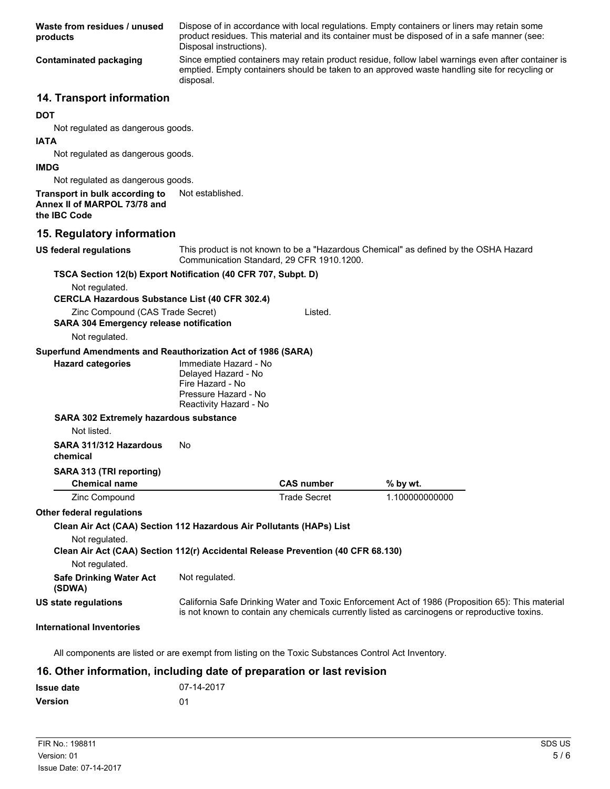| Waste from residues / unused<br>products                                                             | Disposal instructions).                                                                                            |                     | Dispose of in accordance with local regulations. Empty containers or liners may retain some<br>product residues. This material and its container must be disposed of in a safe manner (see:         |
|------------------------------------------------------------------------------------------------------|--------------------------------------------------------------------------------------------------------------------|---------------------|-----------------------------------------------------------------------------------------------------------------------------------------------------------------------------------------------------|
| <b>Contaminated packaging</b>                                                                        | disposal.                                                                                                          |                     | Since emptied containers may retain product residue, follow label warnings even after container is<br>emptied. Empty containers should be taken to an approved waste handling site for recycling or |
| 14. Transport information                                                                            |                                                                                                                    |                     |                                                                                                                                                                                                     |
| <b>DOT</b>                                                                                           |                                                                                                                    |                     |                                                                                                                                                                                                     |
| Not regulated as dangerous goods.                                                                    |                                                                                                                    |                     |                                                                                                                                                                                                     |
| <b>IATA</b>                                                                                          |                                                                                                                    |                     |                                                                                                                                                                                                     |
| Not regulated as dangerous goods.<br><b>IMDG</b>                                                     |                                                                                                                    |                     |                                                                                                                                                                                                     |
| Not regulated as dangerous goods.                                                                    |                                                                                                                    |                     |                                                                                                                                                                                                     |
| Transport in bulk according to<br>Annex II of MARPOL 73/78 and<br>the IBC Code                       | Not established.                                                                                                   |                     |                                                                                                                                                                                                     |
| 15. Regulatory information                                                                           |                                                                                                                    |                     |                                                                                                                                                                                                     |
| <b>US federal regulations</b>                                                                        | Communication Standard, 29 CFR 1910.1200.                                                                          |                     | This product is not known to be a "Hazardous Chemical" as defined by the OSHA Hazard                                                                                                                |
| TSCA Section 12(b) Export Notification (40 CFR 707, Subpt. D)                                        |                                                                                                                    |                     |                                                                                                                                                                                                     |
| Not regulated.<br><b>CERCLA Hazardous Substance List (40 CFR 302.4)</b>                              |                                                                                                                    |                     |                                                                                                                                                                                                     |
| Zinc Compound (CAS Trade Secret)<br><b>SARA 304 Emergency release notification</b><br>Not regulated. |                                                                                                                    | Listed.             |                                                                                                                                                                                                     |
| Superfund Amendments and Reauthorization Act of 1986 (SARA)                                          |                                                                                                                    |                     |                                                                                                                                                                                                     |
| <b>Hazard categories</b>                                                                             | Immediate Hazard - No<br>Delayed Hazard - No<br>Fire Hazard - No<br>Pressure Hazard - No<br>Reactivity Hazard - No |                     |                                                                                                                                                                                                     |
| SARA 302 Extremely hazardous substance                                                               |                                                                                                                    |                     |                                                                                                                                                                                                     |
| Not listed.                                                                                          |                                                                                                                    |                     |                                                                                                                                                                                                     |
| SARA 311/312 Hazardous<br>chemical                                                                   | No                                                                                                                 |                     |                                                                                                                                                                                                     |
| SARA 313 (TRI reporting)<br><b>Chemical name</b>                                                     |                                                                                                                    | <b>CAS number</b>   | % by wt.                                                                                                                                                                                            |
| Zinc Compound                                                                                        |                                                                                                                    | <b>Trade Secret</b> | 1.100000000000                                                                                                                                                                                      |
| <b>Other federal regulations</b>                                                                     |                                                                                                                    |                     |                                                                                                                                                                                                     |
| Clean Air Act (CAA) Section 112 Hazardous Air Pollutants (HAPs) List                                 |                                                                                                                    |                     |                                                                                                                                                                                                     |
| Not regulated.<br>Clean Air Act (CAA) Section 112(r) Accidental Release Prevention (40 CFR 68.130)   |                                                                                                                    |                     |                                                                                                                                                                                                     |
| Not regulated.                                                                                       |                                                                                                                    |                     |                                                                                                                                                                                                     |
| <b>Safe Drinking Water Act</b><br>(SDWA)                                                             | Not regulated.                                                                                                     |                     |                                                                                                                                                                                                     |
| <b>US state regulations</b>                                                                          |                                                                                                                    |                     | California Safe Drinking Water and Toxic Enforcement Act of 1986 (Proposition 65): This material<br>is not known to contain any chemicals currently listed as carcinogens or reproductive toxins.   |
| <b>International Inventories</b>                                                                     |                                                                                                                    |                     |                                                                                                                                                                                                     |

All components are listed or are exempt from listing on the Toxic Substances Control Act Inventory.

## **16. Other information, including date of preparation or last revision**

| <b>Issue date</b> | 07-14-2017 |
|-------------------|------------|
| <b>Version</b>    | 01         |